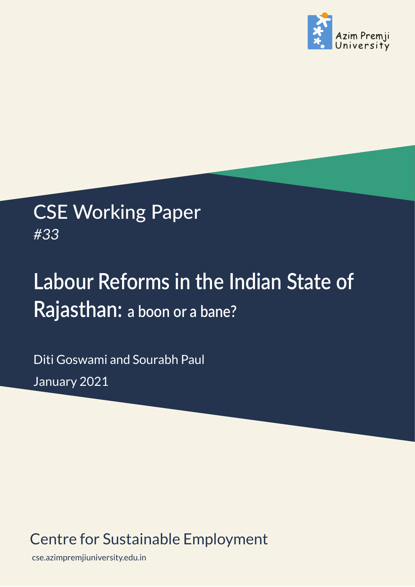

# CSE Working Paper *#33*

# **Labour Reforms in the Indian State of Rajasthan: a boon or a bane?**

Diti Goswami and Sourabh Paul January 2021

# Centre for Sustainable Employment

cse.azimpremjiuniversity.edu.in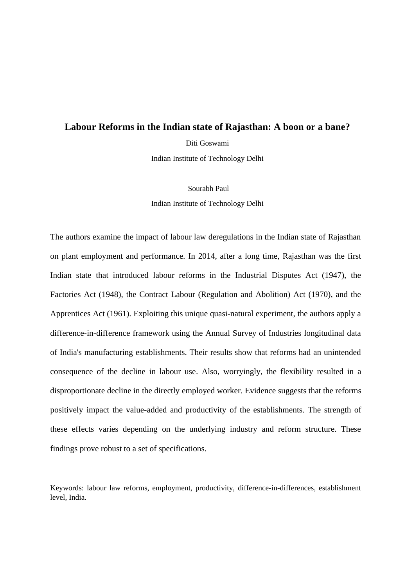# **Labour Reforms in the Indian state of Rajasthan: A boon or a bane?**

Diti Goswami

Indian Institute of Technology Delhi

 Sourabh Paul Indian Institute of Technology Delhi

The authors examine the impact of labour law deregulations in the Indian state of Rajasthan on plant employment and performance. In 2014, after a long time, Rajasthan was the first Indian state that introduced labour reforms in the Industrial Disputes Act (1947), the Factories Act (1948), the Contract Labour (Regulation and Abolition) Act (1970), and the Apprentices Act (1961). Exploiting this unique quasi-natural experiment, the authors apply a difference-in-difference framework using the Annual Survey of Industries longitudinal data of India's manufacturing establishments. Their results show that reforms had an unintended consequence of the decline in labour use. Also, worryingly, the flexibility resulted in a disproportionate decline in the directly employed worker. Evidence suggests that the reforms positively impact the value-added and productivity of the establishments. The strength of these effects varies depending on the underlying industry and reform structure. These findings prove robust to a set of specifications.

Keywords: labour law reforms, employment, productivity, difference-in-differences, establishment level, India.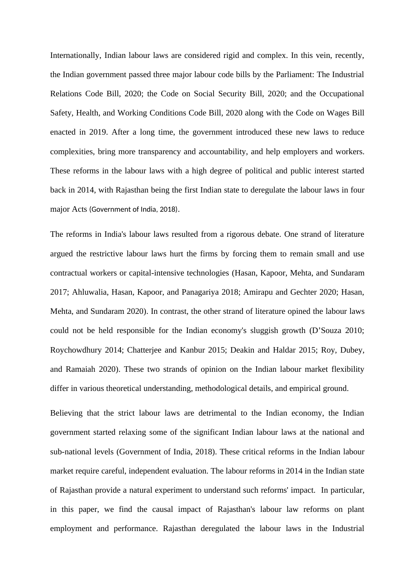Internationally, Indian labour laws are considered rigid and complex. In this vein, recently, the Indian government passed three major labour code bills by the Parliament: The Industrial Relations Code Bill, 2020; the Code on Social Security Bill, 2020; and the Occupational Safety, Health, and Working Conditions Code Bill, 2020 along with the Code on Wages Bill enacted in 2019. After a long time, the government introduced these new laws to reduce complexities, bring more transparency and accountability, and help employers and workers. These reforms in the labour laws with a high degree of political and public interest started back in 2014, with Rajasthan being the first Indian state to deregulate the labour laws in four major Acts (Government of India, 2018).

The reforms in India's labour laws resulted from a rigorous debate. One strand of literature argued the restrictive labour laws hurt the firms by forcing them to remain small and use contractual workers or capital-intensive technologies (Hasan, Kapoor, Mehta, and Sundaram 2017; Ahluwalia, Hasan, Kapoor, and Panagariya 2018; Amirapu and Gechter 2020; Hasan, Mehta, and Sundaram 2020). In contrast, the other strand of literature opined the labour laws could not be held responsible for the Indian economy's sluggish growth (D'Souza 2010; Roychowdhury 2014; Chatterjee and Kanbur 2015; Deakin and Haldar 2015; Roy, Dubey, and Ramaiah 2020). These two strands of opinion on the Indian labour market flexibility differ in various theoretical understanding, methodological details, and empirical ground.

Believing that the strict labour laws are detrimental to the Indian economy, the Indian government started relaxing some of the significant Indian labour laws at the national and sub-national levels (Government of India, 2018). These critical reforms in the Indian labour market require careful, independent evaluation. The labour reforms in 2014 in the Indian state of Rajasthan provide a natural experiment to understand such reforms' impact. In particular, in this paper, we find the causal impact of Rajasthan's labour law reforms on plant employment and performance. Rajasthan deregulated the labour laws in the Industrial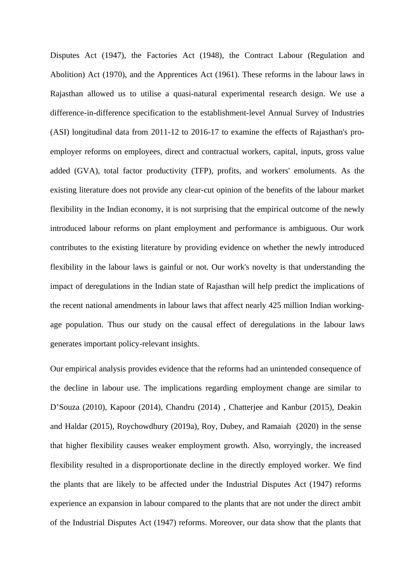Disputes Act (1947), the Factories Act (1948), the Contract Labour (Regulation and Abolition) Act (1970), and the Apprentices Act (1961). These reforms in the labour laws in Rajasthan allowed us to utilise a quasi-natural experimental research design. We use a difference-in-difference specification to the establishment-level Annual Survey of Industries (ASI) longitudinal data from 2011-12 to 2016-17 to examine the effects of Rajasthan's proemployer reforms on employees, direct and contractual workers, capital, inputs, gross value added (GVA), total factor productivity (TFP), profits, and workers' emoluments. As the existing literature does not provide any clear-cut opinion of the benefits of the labour market flexibility in the Indian economy, it is not surprising that the empirical outcome of the newly introduced labour reforms on plant employment and performance is ambiguous. Our work contributes to the existing literature by providing evidence on whether the newly introduced flexibility in the labour laws is gainful or not. Our work's novelty is that understanding the impact of deregulations in the Indian state of Rajasthan will help predict the implications of the recent national amendments in labour laws that affect nearly 425 million Indian workingage population. Thus our study on the causal effect of deregulations in the labour laws generates important policy-relevant insights.

Our empirical analysis provides evidence that the reforms had an unintended consequence of the decline in labour use. The implications regarding employment change are similar to D'Souza (2010), Kapoor (2014), Chandru (2014) , Chatterjee and Kanbur (2015), Deakin and Haldar (2015), Roychowdhury (2019a), Roy, Dubey, and Ramaiah (2020) in the sense that higher flexibility causes weaker employment growth. Also, worryingly, the increased flexibility resulted in a disproportionate decline in the directly employed worker. We find the plants that are likely to be affected under the Industrial Disputes Act (1947) reforms experience an expansion in labour compared to the plants that are not under the direct ambit of the Industrial Disputes Act (1947) reforms. Moreover, our data show that the plants that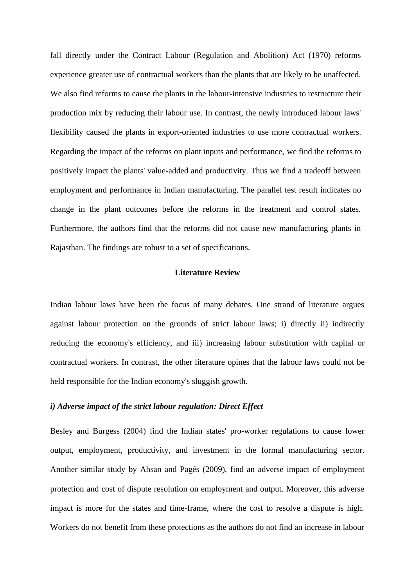fall directly under the Contract Labour (Regulation and Abolition) Act (1970) reforms experience greater use of contractual workers than the plants that are likely to be unaffected. We also find reforms to cause the plants in the labour-intensive industries to restructure their production mix by reducing their labour use. In contrast, the newly introduced labour laws' flexibility caused the plants in export-oriented industries to use more contractual workers. Regarding the impact of the reforms on plant inputs and performance, we find the reforms to positively impact the plants' value-added and productivity. Thus we find a tradeoff between employment and performance in Indian manufacturing. The parallel test result indicates no change in the plant outcomes before the reforms in the treatment and control states. Furthermore, the authors find that the reforms did not cause new manufacturing plants in Rajasthan. The findings are robust to a set of specifications.

# **Literature Review**

Indian labour laws have been the focus of many debates. One strand of literature argues against labour protection on the grounds of strict labour laws; i) directly ii) indirectly reducing the economy's efficiency, and iii) increasing labour substitution with capital or contractual workers. In contrast, the other literature opines that the labour laws could not be held responsible for the Indian economy's sluggish growth.

# *i) Adverse impact of the strict labour regulation: Direct Effect*

Besley and Burgess (2004) find the Indian states' pro-worker regulations to cause lower output, employment, productivity, and investment in the formal manufacturing sector. Another similar study by Ahsan and Pagés (2009), find an adverse impact of employment protection and cost of dispute resolution on employment and output. Moreover, this adverse impact is more for the states and time-frame, where the cost to resolve a dispute is high. Workers do not benefit from these protections as the authors do not find an increase in labour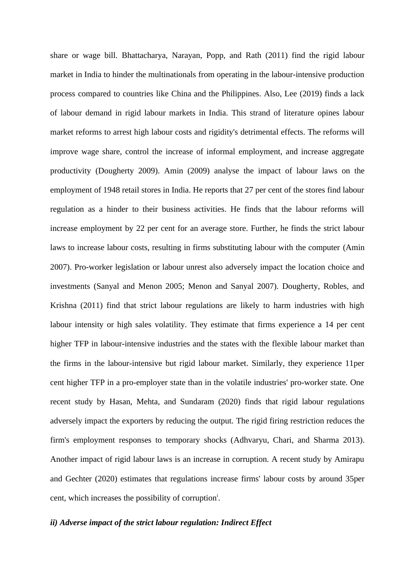share or wage bill. Bhattacharya, Narayan, Popp, and Rath (2011) find the rigid labour market in India to hinder the multinationals from operating in the labour-intensive production process compared to countries like China and the Philippines. Also, Lee (2019) finds a lack of labour demand in rigid labour markets in India. This strand of literature opines labour market reforms to arrest high labour costs and rigidity's detrimental effects. The reforms will improve wage share, control the increase of informal employment, and increase aggregate productivity (Dougherty 2009). Amin (2009) analyse the impact of labour laws on the employment of 1948 retail stores in India. He reports that 27 per cent of the stores find labour regulation as a hinder to their business activities. He finds that the labour reforms will increase employment by 22 per cent for an average store. Further, he finds the strict labour laws to increase labour costs, resulting in firms substituting labour with the computer (Amin 2007). Pro-worker legislation or labour unrest also adversely impact the location choice and investments (Sanyal and Menon 2005; Menon and Sanyal 2007). Dougherty, Robles, and Krishna (2011) find that strict labour regulations are likely to harm industries with high labour intensity or high sales volatility. They estimate that firms experience a 14 per cent higher TFP in labour-intensive industries and the states with the flexible labour market than the firms in the labour-intensive but rigid labour market. Similarly, they experience 11per cent higher TFP in a pro-employer state than in the volatile industries' pro-worker state. One recent study by Hasan, Mehta, and Sundaram (2020) finds that rigid labour regulations adversely impact the exporters by reducing the output. The rigid firing restriction reduces the firm's employment responses to temporary shocks (Adhvaryu, Chari, and Sharma 2013). Another impact of rigid labour laws is an increase in corruption. A recent study by Amirapu and Gechter (2020) estimates that regulations increase firms' labour costs by around 35per cent, which increases the possibility of corruption<sup>i</sup>.

# *ii) Adverse impact of the strict labour regulation: Indirect Effect*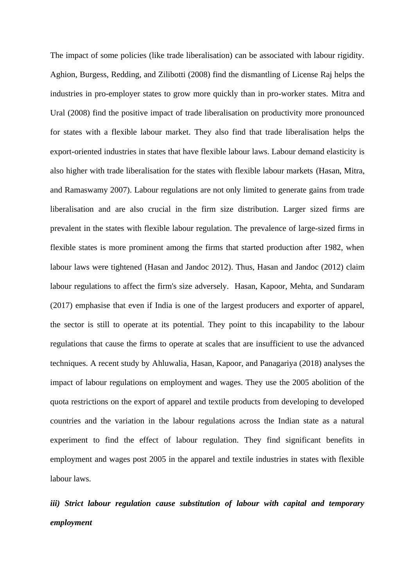The impact of some policies (like trade liberalisation) can be associated with labour rigidity. Aghion, Burgess, Redding, and Zilibotti (2008) find the dismantling of License Raj helps the industries in pro-employer states to grow more quickly than in pro-worker states. Mitra and Ural (2008) find the positive impact of trade liberalisation on productivity more pronounced for states with a flexible labour market. They also find that trade liberalisation helps the export-oriented industries in states that have flexible labour laws. Labour demand elasticity is also higher with trade liberalisation for the states with flexible labour markets (Hasan, Mitra, and Ramaswamy 2007). Labour regulations are not only limited to generate gains from trade liberalisation and are also crucial in the firm size distribution. Larger sized firms are prevalent in the states with flexible labour regulation. The prevalence of large-sized firms in flexible states is more prominent among the firms that started production after 1982, when labour laws were tightened (Hasan and Jandoc 2012). Thus, Hasan and Jandoc (2012) claim labour regulations to affect the firm's size adversely. Hasan, Kapoor, Mehta, and Sundaram (2017) emphasise that even if India is one of the largest producers and exporter of apparel, the sector is still to operate at its potential. They point to this incapability to the labour regulations that cause the firms to operate at scales that are insufficient to use the advanced techniques. A recent study by Ahluwalia, Hasan, Kapoor, and Panagariya (2018) analyses the impact of labour regulations on employment and wages. They use the 2005 abolition of the quota restrictions on the export of apparel and textile products from developing to developed countries and the variation in the labour regulations across the Indian state as a natural experiment to find the effect of labour regulation. They find significant benefits in employment and wages post 2005 in the apparel and textile industries in states with flexible labour laws.

*iii) Strict labour regulation cause substitution of labour with capital and temporary employment*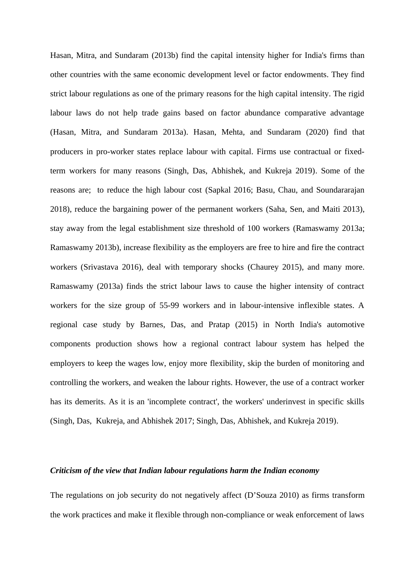Hasan, Mitra, and Sundaram (2013b) find the capital intensity higher for India's firms than other countries with the same economic development level or factor endowments. They find strict labour regulations as one of the primary reasons for the high capital intensity. The rigid labour laws do not help trade gains based on factor abundance comparative advantage (Hasan, Mitra, and Sundaram 2013a). Hasan, Mehta, and Sundaram (2020) find that producers in pro-worker states replace labour with capital. Firms use contractual or fixedterm workers for many reasons (Singh, Das, Abhishek, and Kukreja 2019). Some of the reasons are; to reduce the high labour cost (Sapkal 2016; Basu, Chau, and Soundararajan 2018), reduce the bargaining power of the permanent workers (Saha, Sen, and Maiti 2013), stay away from the legal establishment size threshold of 100 workers (Ramaswamy 2013a; Ramaswamy 2013b), increase flexibility as the employers are free to hire and fire the contract workers (Srivastava 2016), deal with temporary shocks (Chaurey 2015), and many more. Ramaswamy (2013a) finds the strict labour laws to cause the higher intensity of contract workers for the size group of 55-99 workers and in labour-intensive inflexible states. A regional case study by Barnes, Das, and Pratap (2015) in North India's automotive components production shows how a regional contract labour system has helped the employers to keep the wages low, enjoy more flexibility, skip the burden of monitoring and controlling the workers, and weaken the labour rights. However, the use of a contract worker has its demerits. As it is an 'incomplete contract', the workers' underinvest in specific skills (Singh, Das, Kukreja, and Abhishek 2017; Singh, Das, Abhishek, and Kukreja 2019).

# *Criticism of the view that Indian labour regulations harm the Indian economy*

The regulations on job security do not negatively affect (D'Souza 2010) as firms transform the work practices and make it flexible through non-compliance or weak enforcement of laws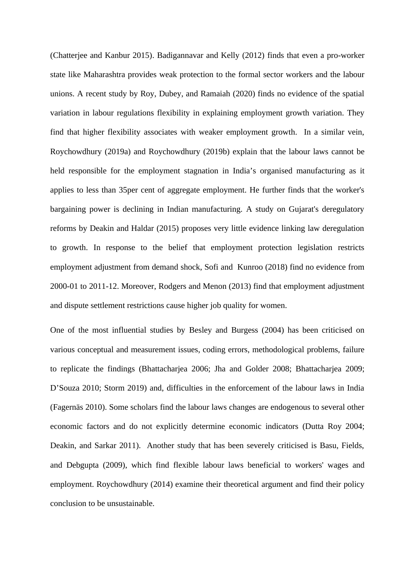(Chatterjee and Kanbur 2015). Badigannavar and Kelly (2012) finds that even a pro-worker state like Maharashtra provides weak protection to the formal sector workers and the labour unions. A recent study by Roy, Dubey, and Ramaiah (2020) finds no evidence of the spatial variation in labour regulations flexibility in explaining employment growth variation. They find that higher flexibility associates with weaker employment growth. In a similar vein, Roychowdhury (2019a) and Roychowdhury (2019b) explain that the labour laws cannot be held responsible for the employment stagnation in India's organised manufacturing as it applies to less than 35per cent of aggregate employment. He further finds that the worker's bargaining power is declining in Indian manufacturing. A study on Gujarat's deregulatory reforms by Deakin and Haldar (2015) proposes very little evidence linking law deregulation to growth. In response to the belief that employment protection legislation restricts employment adjustment from demand shock, Sofi and Kunroo (2018) find no evidence from 2000-01 to 2011-12. Moreover, Rodgers and Menon (2013) find that employment adjustment and dispute settlement restrictions cause higher job quality for women.

One of the most influential studies by Besley and Burgess (2004) has been criticised on various conceptual and measurement issues, coding errors, methodological problems, failure to replicate the findings (Bhattacharjea 2006; Jha and Golder 2008; Bhattacharjea 2009; D'Souza 2010; Storm 2019) and, difficulties in the enforcement of the labour laws in India (Fagernäs 2010). Some scholars find the labour laws changes are endogenous to several other economic factors and do not explicitly determine economic indicators (Dutta Roy 2004; Deakin, and Sarkar 2011). Another study that has been severely criticised is Basu, Fields, and Debgupta (2009), which find flexible labour laws beneficial to workers' wages and employment. Roychowdhury (2014) examine their theoretical argument and find their policy conclusion to be unsustainable.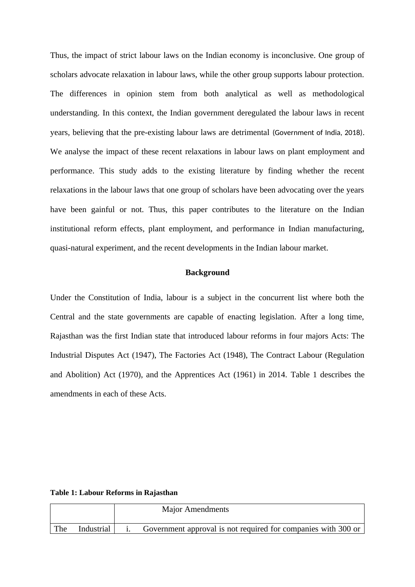Thus, the impact of strict labour laws on the Indian economy is inconclusive. One group of scholars advocate relaxation in labour laws, while the other group supports labour protection. The differences in opinion stem from both analytical as well as methodological understanding. In this context, the Indian government deregulated the labour laws in recent years, believing that the pre-existing labour laws are detrimental (Government of India, 2018). We analyse the impact of these recent relaxations in labour laws on plant employment and performance. This study adds to the existing literature by finding whether the recent relaxations in the labour laws that one group of scholars have been advocating over the years have been gainful or not. Thus, this paper contributes to the literature on the Indian institutional reform effects, plant employment, and performance in Indian manufacturing, quasi-natural experiment, and the recent developments in the Indian labour market.

# **Background**

Under the Constitution of India, labour is a subject in the concurrent list where both the Central and the state governments are capable of enacting legislation. After a long time, Rajasthan was the first Indian state that introduced labour reforms in four majors Acts: The Industrial Disputes Act (1947), The Factories Act (1948), The Contract Labour (Regulation and Abolition) Act (1970), and the Apprentices Act (1961) in 2014. [Table 1](#page-9-0) describes the amendments in each of these Acts.

<span id="page-9-0"></span>

|  |  |  |  | <b>Table 1: Labour Reforms in Rajasthan</b> |
|--|--|--|--|---------------------------------------------|
|--|--|--|--|---------------------------------------------|

|     |            | <b>Major Amendments</b>                                       |
|-----|------------|---------------------------------------------------------------|
| The | Industrial | Government approval is not required for companies with 300 or |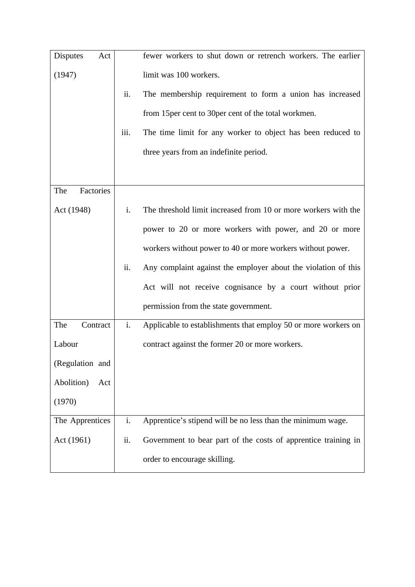| <b>Disputes</b><br>Act |      | fewer workers to shut down or retrench workers. The earlier    |
|------------------------|------|----------------------------------------------------------------|
| (1947)                 |      | limit was 100 workers.                                         |
|                        | ii.  | The membership requirement to form a union has increased       |
|                        |      | from 15 per cent to 30 per cent of the total workmen.          |
|                        | iii. | The time limit for any worker to object has been reduced to    |
|                        |      | three years from an indefinite period.                         |
|                        |      |                                                                |
| Factories<br>The       |      |                                                                |
| Act (1948)             | i.   | The threshold limit increased from 10 or more workers with the |
|                        |      | power to 20 or more workers with power, and 20 or more         |
|                        |      | workers without power to 40 or more workers without power.     |
|                        | ii.  | Any complaint against the employer about the violation of this |
|                        |      | Act will not receive cognisance by a court without prior       |
|                        |      | permission from the state government.                          |
| The<br>Contract        | i.   | Applicable to establishments that employ 50 or more workers on |
| Labour                 |      | contract against the former 20 or more workers.                |
| (Regulation and        |      |                                                                |
| Abolition)<br>Act      |      |                                                                |
| (1970)                 |      |                                                                |
| The Apprentices        | i.   | Apprentice's stipend will be no less than the minimum wage.    |
| Act (1961)             | ii.  | Government to bear part of the costs of apprentice training in |
|                        |      | order to encourage skilling.                                   |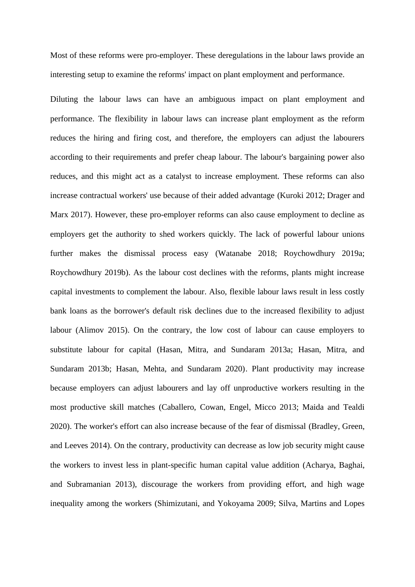Most of these reforms were pro-employer. These deregulations in the labour laws provide an interesting setup to examine the reforms' impact on plant employment and performance.

Diluting the labour laws can have an ambiguous impact on plant employment and performance. The flexibility in labour laws can increase plant employment as the reform reduces the hiring and firing cost, and therefore, the employers can adjust the labourers according to their requirements and prefer cheap labour. The labour's bargaining power also reduces, and this might act as a catalyst to increase employment. These reforms can also increase contractual workers' use because of their added advantage (Kuroki 2012; Drager and Marx 2017). However, these pro-employer reforms can also cause employment to decline as employers get the authority to shed workers quickly. The lack of powerful labour unions further makes the dismissal process easy (Watanabe 2018; Roychowdhury 2019a; Roychowdhury 2019b). As the labour cost declines with the reforms, plants might increase capital investments to complement the labour. Also, flexible labour laws result in less costly bank loans as the borrower's default risk declines due to the increased flexibility to adjust labour (Alimov 2015). On the contrary, the low cost of labour can cause employers to substitute labour for capital (Hasan, Mitra, and Sundaram 2013a; Hasan, Mitra, and Sundaram 2013b; Hasan, Mehta, and Sundaram 2020). Plant productivity may increase because employers can adjust labourers and lay off unproductive workers resulting in the most productive skill matches (Caballero, Cowan, Engel, Micco 2013; Maida and Tealdi 2020). The worker's effort can also increase because of the fear of dismissal (Bradley, Green, and Leeves 2014). On the contrary, productivity can decrease as low job security might cause the workers to invest less in plant-specific human capital value addition (Acharya, Baghai, and Subramanian 2013), discourage the workers from providing effort, and high wage inequality among the workers (Shimizutani, and Yokoyama 2009; Silva, Martins and Lopes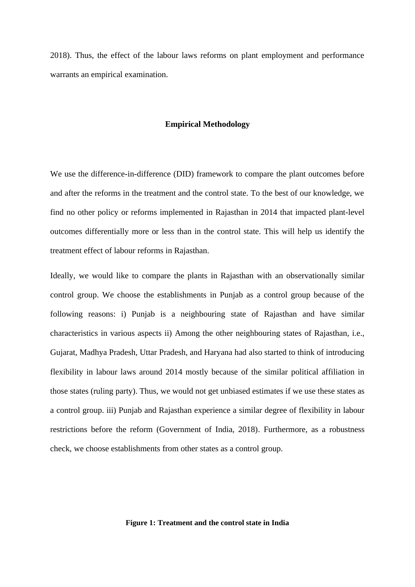2018). Thus, the effect of the labour laws reforms on plant employment and performance warrants an empirical examination.

#### **Empirical Methodology**

We use the difference-in-difference (DID) framework to compare the plant outcomes before and after the reforms in the treatment and the control state. To the best of our knowledge, we find no other policy or reforms implemented in Rajasthan in 2014 that impacted plant-level outcomes differentially more or less than in the control state. This will help us identify the treatment effect of labour reforms in Rajasthan.

Ideally, we would like to compare the plants in Rajasthan with an observationally similar control group. We choose the establishments in Punjab as a control group because of the following reasons: i) Punjab is a neighbouring state of Rajasthan and have similar characteristics in various aspects ii) Among the other neighbouring states of Rajasthan, i.e., Gujarat, Madhya Pradesh, Uttar Pradesh, and Haryana had also started to think of introducing flexibility in labour laws around 2014 mostly because of the similar political affiliation in those states (ruling party). Thus, we would not get unbiased estimates if we use these states as a control group. iii) Punjab and Rajasthan experience a similar degree of flexibility in labour restrictions before the reform (Government of India, 2018). Furthermore, as a robustness check, we choose establishments from other states as a control group.

#### **Figure 1: Treatment and the control state in India**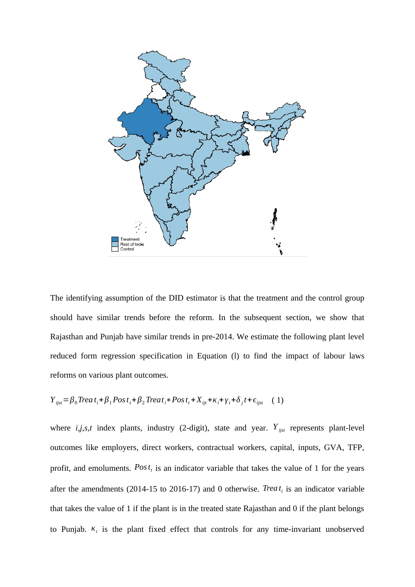

The identifying assumption of the DID estimator is that the treatment and the control group should have similar trends before the reform. In the subsequent section, we show that Rajasthan and Punjab have similar trends in pre-2014. We estimate the following plant level reduced form regression specification in Equation (l) to find the impact of labour laws reforms on various plant outcomes.

$$
Y_{ijst} = \beta_0 \text{Tree} \, t_i + \beta_1 \text{Post}_t + \beta_2 \text{Tree} \, t_i + \text{Post}_t + X_{ijt} + \kappa_i + \gamma_t + \delta_j t + \epsilon_{ijst} \quad (1)
$$

where *i*,*j*,*s*,*t* index plants, industry (2-digit), state and year.  $Y_{ijst}$  represents plant-level outcomes like employers, direct workers, contractual workers, capital, inputs, GVA, TFP, profit, and emoluments. Post<sub>t</sub> is an indicator variable that takes the value of 1 for the years after the amendments (2014-15 to 2016-17) and 0 otherwise. *Trea t i* is an indicator variable that takes the value of 1 if the plant is in the treated state Rajasthan and 0 if the plant belongs to Punjab. *κ<sup>i</sup>* is the plant fixed effect that controls for any time-invariant unobserved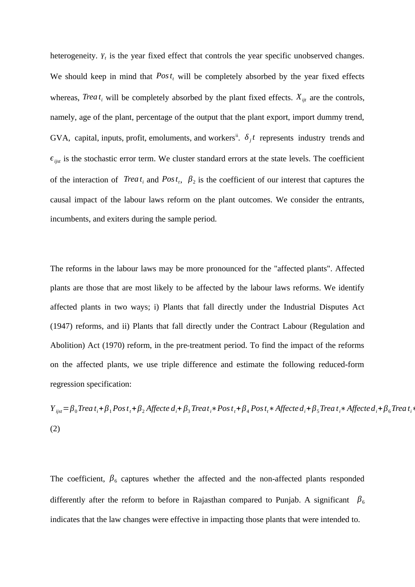heterogeneity*. γ<sup>t</sup>* is the year fixed effect that controls the year specific unobserved changes. We should keep in mind that  $Pos t_t$  will be completely absorbed by the year fixed effects whereas, *Trea*  $t_i$  will be completely absorbed by the plant fixed effects.  $X_{ijt}$  are the controls, namely, age of the plant, percentage of the output that the plant export, import dummy trend, GVA, capital, inputs, profit, emoluments, and workers<sup>ii</sup>.  $\delta_j t$  represents industry trends and  $\epsilon_{ijst}$  is the stochastic error term. We cluster standard errors at the state levels. The coefficient of the interaction of *Trea*  $t_i$  and  $Post_t$ ,  $\beta_2$  is the coefficient of our interest that captures the causal impact of the labour laws reform on the plant outcomes. We consider the entrants, incumbents, and exiters during the sample period.

The reforms in the labour laws may be more pronounced for the "affected plants". Affected plants are those that are most likely to be affected by the labour laws reforms. We identify affected plants in two ways; i) Plants that fall directly under the Industrial Disputes Act (1947) reforms, and ii) Plants that fall directly under the Contract Labour (Regulation and Abolition) Act (1970) reform, in the pre-treatment period. To find the impact of the reforms on the affected plants, we use triple difference and estimate the following reduced-form regression specification:

 $Y_{ijst} = \beta_0$ Trea t<sub>i</sub> +  $\beta_1$ Pos t<sub>i</sub> +  $\beta_2$  Affecte  $d_i$  +  $\beta_3$ Treat<sub>i</sub> \* Pos t<sub>i</sub> +  $\beta_4$ Pos t<sub>i</sub> \* Affecte  $d_i$  +  $\beta_5$ Treat<sub>i</sub> \* Affecte  $d_i$  +  $\beta_6$ Treat<sub>i</sub> \* (2)

The coefficient,  $\beta_6$  captures whether the affected and the non-affected plants responded differently after the reform to before in Rajasthan compared to Punjab. A significant *β*<sup>6</sup> indicates that the law changes were effective in impacting those plants that were intended to.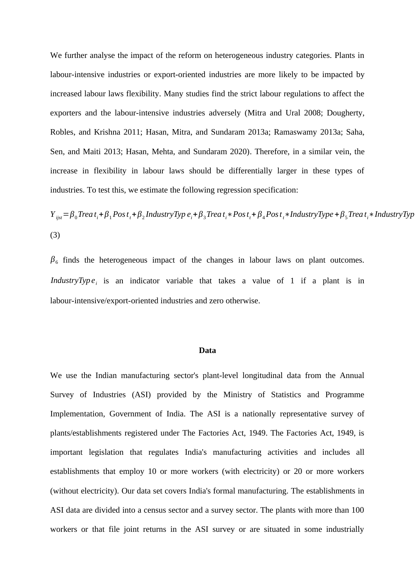We further analyse the impact of the reform on heterogeneous industry categories. Plants in labour-intensive industries or export-oriented industries are more likely to be impacted by increased labour laws flexibility. Many studies find the strict labour regulations to affect the exporters and the labour-intensive industries adversely (Mitra and Ural 2008; Dougherty, Robles, and Krishna 2011; Hasan, Mitra, and Sundaram 2013a; Ramaswamy 2013a; Saha, Sen, and Maiti 2013; Hasan, Mehta, and Sundaram 2020). Therefore, in a similar vein, the increase in flexibility in labour laws should be differentially larger in these types of industries. To test this, we estimate the following regression specification:

 $Y_{ijst} = \beta_0$ Trea t<sub>i</sub> +  $\beta_1$ Pos t<sub>i</sub> +  $\beta_2$ IndustryTyp e<sub>i</sub> +  $\beta_3$ Trea t<sub>i</sub> \* Pos t<sub>i</sub> +  $\beta_4$ Pos t<sub>i</sub> \* IndustryType +  $\beta_5$ Trea t<sub>i</sub> \* IndustryTyp (3)

 $\beta_6$  finds the heterogeneous impact of the changes in labour laws on plant outcomes. *IndustryTyp e*<sub>*i*</sub> is an indicator variable that takes a value of 1 if a plant is in labour-intensive/export-oriented industries and zero otherwise.

#### **Data**

We use the Indian manufacturing sector's plant-level longitudinal data from the Annual Survey of Industries (ASI) provided by the Ministry of Statistics and Programme Implementation, Government of India. The ASI is a nationally representative survey of plants/establishments registered under The Factories Act, 1949. The Factories Act, 1949, is important legislation that regulates India's manufacturing activities and includes all establishments that employ 10 or more workers (with electricity) or 20 or more workers (without electricity). Our data set covers India's formal manufacturing. The establishments in ASI data are divided into a census sector and a survey sector. The plants with more than 100 workers or that file joint returns in the ASI survey or are situated in some industrially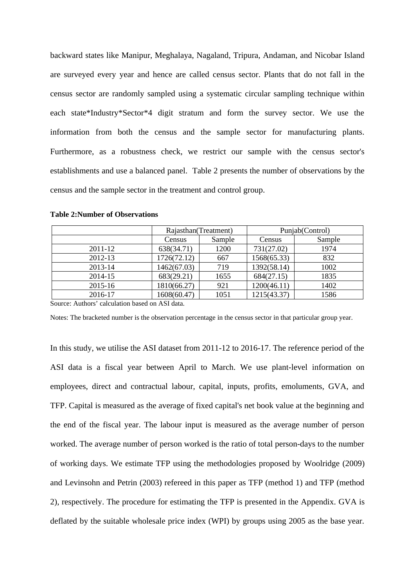backward states like Manipur, Meghalaya, Nagaland, Tripura, Andaman, and Nicobar Island are surveyed every year and hence are called census sector. Plants that do not fall in the census sector are randomly sampled using a systematic circular sampling technique within each state\*Industry\*Sector\*4 digit stratum and form the survey sector. We use the information from both the census and the sample sector for manufacturing plants. Furthermore, as a robustness check, we restrict our sample with the census sector's establishments and use a balanced panel. [Table 2](#page-16-0) presents the number of observations by the census and the sample sector in the treatment and control group.

|         | Rajasthan(Treatment)    |      | Punjab(Control) |        |  |
|---------|-------------------------|------|-----------------|--------|--|
|         | Sample<br><b>Census</b> |      | Census          | Sample |  |
| 2011-12 | 638(34.71)              | 1200 | 731(27.02)      | 1974   |  |
| 2012-13 | 1726(72.12)             | 667  | 1568(65.33)     | 832    |  |
| 2013-14 | 1462(67.03)             | 719  | 1392(58.14)     | 1002   |  |
| 2014-15 | 683(29.21)              | 1655 | 684(27.15)      | 1835   |  |
| 2015-16 | 1810(66.27)             | 921  | 1200(46.11)     | 1402   |  |
| 2016-17 | 1608(60.47)             | 1051 | 1215(43.37)     | 1586   |  |

#### <span id="page-16-0"></span>**Table 2:Number of Observations**

Source: Authors' calculation based on ASI data.

Notes: The bracketed number is the observation percentage in the census sector in that particular group year.

In this study, we utilise the ASI dataset from 2011-12 to 2016-17. The reference period of the ASI data is a fiscal year between April to March. We use plant-level information on employees, direct and contractual labour, capital, inputs, profits, emoluments, GVA, and TFP. Capital is measured as the average of fixed capital's net book value at the beginning and the end of the fiscal year. The labour input is measured as the average number of person worked. The average number of person worked is the ratio of total person-days to the number of working days. We estimate TFP using the methodologies proposed by Woolridge (2009) and Levinsohn and Petrin (2003) refereed in this paper as TFP (method 1) and TFP (method 2), respectively. The procedure for estimating the TFP is presented in the Appendix. GVA is deflated by the suitable wholesale price index (WPI) by groups using 2005 as the base year.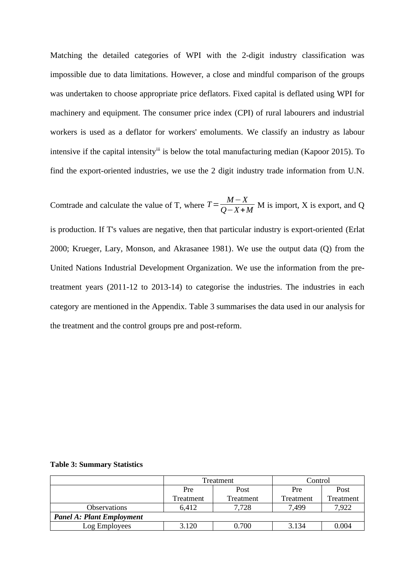Matching the detailed categories of WPI with the 2-digit industry classification was impossible due to data limitations. However, a close and mindful comparison of the groups was undertaken to choose appropriate price deflators. Fixed capital is deflated using WPI for machinery and equipment. The consumer price index (CPI) of rural labourers and industrial workers is used as a deflator for workers' emoluments. We classify an industry as labour intensive if the capital intensity<sup>iii</sup> is below the total manufacturing median (Kapoor 2015). To find the export-oriented industries, we use the 2 digit industry trade information from U.N.

Comtrade and calculate the value of T, where  $T = \frac{M - X}{Q - X}$  $\frac{M}{Q-X+M}$  M is import, X is export, and Q is production. If T's values are negative, then that particular industry is export-oriented (Erlat 2000; Krueger, Lary, Monson, and Akrasanee 1981). We use the output data (Q) from the United Nations Industrial Development Organization. We use the information from the pretreatment years (2011-12 to 2013-14) to categorise the industries. The industries in each category are mentioned in the Appendix. [Table 3](#page-17-0) summarises the data used in our analysis for the treatment and the control groups pre and post-reform.

<span id="page-17-0"></span>**Table 3: Summary Statistics**

|                                  |           | Treatment | Control   |           |  |
|----------------------------------|-----------|-----------|-----------|-----------|--|
|                                  | Pre       | Post      | Pre       | Post      |  |
|                                  | Treatment | Treatment | Treatment | Treatment |  |
| <b>Observations</b>              | 6.412     | 7,728     | 7,499     | 7,922     |  |
| <b>Panel A: Plant Employment</b> |           |           |           |           |  |
| Log Employees                    | 3.120     | 0.700     | 3.134     | 0.004     |  |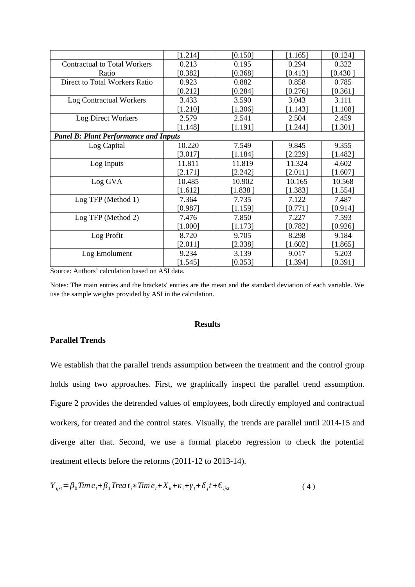|                                              | [1.214] | $[0.150]$ | [1.165]   | [0.124]   |
|----------------------------------------------|---------|-----------|-----------|-----------|
| <b>Contractual to Total Workers</b>          | 0.213   | 0.195     | 0.294     | 0.322     |
| Ratio                                        | [0.382] | [0.368]   | [0.413]   | [0.430]   |
| Direct to Total Workers Ratio                | 0.923   | 0.882     | 0.858     | 0.785     |
|                                              | [0.212] | [0.284]   | $[0.276]$ | [0.361]   |
| <b>Log Contractual Workers</b>               | 3.433   | 3.590     | 3.043     | 3.111     |
|                                              | [1.210] | [1.306]   | [1.143]   | [1.108]   |
| <b>Log Direct Workers</b>                    | 2.579   | 2.541     | 2.504     | 2.459     |
|                                              | [1.148] | [1.191]   | [1.244]   | [1.301]   |
| <b>Panel B: Plant Performance and Inputs</b> |         |           |           |           |
| Log Capital                                  | 10.220  | 7.549     | 9.845     | 9.355     |
|                                              | [3.017] | [1.184]   | $[2.229]$ | $[1.482]$ |
| Log Inputs                                   | 11.811  | 11.819    | 11.324    | 4.602     |
|                                              | [2.171] | [2.242]   | [2.011]   | [1.607]   |
| Log GVA                                      | 10.485  | 10.902    | 10.165    | 10.568    |
|                                              | [1.612] | [1.838]   | [1.383]   | [1.554]   |
| Log TFP (Method 1)                           | 7.364   | 7.735     | 7.122     | 7.487     |
|                                              | [0.987] | [1.159]   | [0.771]   | $[0.914]$ |
| Log TFP (Method 2)                           | 7.476   | 7.850     | 7.227     | 7.593     |
|                                              | [1.000] | [1.173]   | [0.782]   | [0.926]   |
| Log Profit                                   | 8.720   | 9.705     | 8.298     | 9.184     |
|                                              | [2.011] | [2.338]   | [1.602]   | [1.865]   |
| Log Emolument                                | 9.234   | 3.139     | 9.017     | 5.203     |
|                                              | [1.545] | [0.353]   | [1.394]   | [0.391]   |

Notes: The main entries and the brackets' entries are the mean and the standard deviation of each variable. We use the sample weights provided by ASI in the calculation.

# **Results**

# **Parallel Trends**

We establish that the parallel trends assumption between the treatment and the control group holds using two approaches. First, we graphically inspect the parallel trend assumption. Figure 2 provides the detrended values of employees, both directly employed and contractual workers, for treated and the control states. Visually, the trends are parallel until 2014-15 and diverge after that. Second, we use a formal placebo regression to check the potential treatment effects before the reforms (2011-12 to 2013-14).

$$
Y_{ijst} = \beta_0 \text{Time}_t + \beta_1 \text{Tree} \, t_i * \text{Time}_t + X_{it} + \kappa_i + \gamma_t + \delta_j t + \epsilon_{ijst} \tag{4}
$$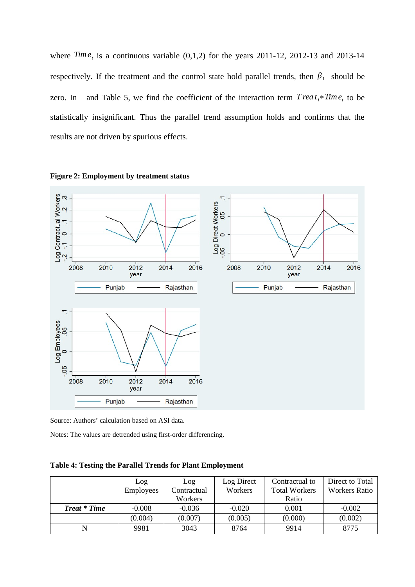where  $Time<sub>t</sub>$  is a continuous variable  $(0,1,2)$  for the years 2011-12, 2012-13 and 2013-14 respectively. If the treatment and the control state hold parallel trends, then  $\beta_1$  should be zero. In and [Table 5,](#page-20-0) we find the coefficient of the interaction term  $T$  *rea*  $t_i * T$ *ime*<sub>t</sub> to be statistically insignificant. Thus the parallel trend assumption holds and confirms that the results are not driven by spurious effects.





Source: Authors' calculation based on ASI data.

<span id="page-19-0"></span>Notes: The values are detrended using first-order differencing.

**Table 4: Testing the Parallel Trends for Plant Employment**

|                     | Log       | Log         | Log Direct | Contractual to       | Direct to Total      |
|---------------------|-----------|-------------|------------|----------------------|----------------------|
|                     | Employees | Contractual | Workers    | <b>Total Workers</b> | <b>Workers Ratio</b> |
|                     |           | Workers     |            | Ratio                |                      |
| <b>Treat * Time</b> | $-0.008$  | $-0.036$    | $-0.020$   | 0.001                | $-0.002$             |
|                     | (0.004)   | (0.007)     | (0.005)    | (0.000)              | (0.002)              |
| N                   | 9981      | 3043        | 8764       | 9914                 | 8775                 |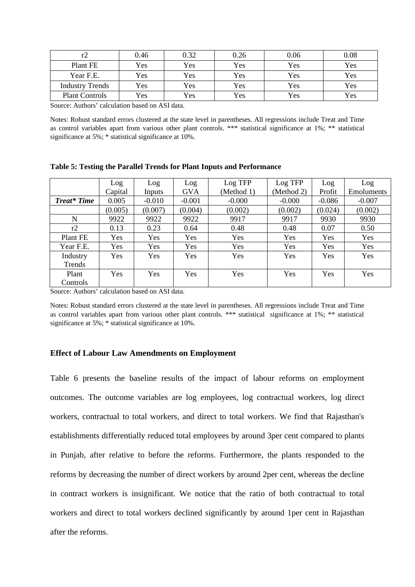|                        | 0.46 | 0.32 | 0.26 | 0.06 | 0.08 |
|------------------------|------|------|------|------|------|
| Plant FE               | Yes  | Yes  | Yes  | Yes  | Yes  |
| Year F.E.              | Yes  | Yes  | Yes  | Yes  | Yes  |
| <b>Industry Trends</b> | Yes  | Yes  | Yes  | Yes  | Yes  |
| <b>Plant Controls</b>  | Yes  | Yes  | Yes  | Yes  | Yes  |

Notes: Robust standard errors clustered at the state level in parentheses. All regressions include Treat and Time as control variables apart from various other plant controls. \*\*\* statistical significance at 1%; \*\* statistical significance at 5%; \* statistical significance at 10%.

|                    | Log        | Log      | Log        | Log TFP    | Log TFP    | Log      | Log        |
|--------------------|------------|----------|------------|------------|------------|----------|------------|
|                    | Capital    | Inputs   | <b>GVA</b> | (Method 1) | (Method 2) | Profit   | Emoluments |
| <b>Treat* Time</b> | 0.005      | $-0.010$ | $-0.001$   | $-0.000$   | $-0.000$   | $-0.086$ | $-0.007$   |
|                    | (0.005)    | (0.007)  | (0.004)    | (0.002)    | (0.002)    | (0.024)  | (0.002)    |
| N                  | 9922       | 9922     | 9922       | 9917       | 9917       | 9930     | 9930       |
| r2                 | 0.13       | 0.23     | 0.64       | 0.48       | 0.48       | 0.07     | 0.50       |
| Plant FE           | Yes        | Yes      | Yes        | Yes        | Yes        | Yes      | Yes        |
| Year F.E.          | Yes        | Yes      | Yes        | Yes        | Yes        | Yes      | Yes        |
| Industry           | Yes        | Yes      | Yes        | Yes        | Yes        | Yes      | Yes        |
| Trends             |            |          |            |            |            |          |            |
| Plant              | <b>Yes</b> | Yes      | Yes        | Yes        | Yes        | Yes      | Yes        |
| Controls           |            |          |            |            |            |          |            |

<span id="page-20-0"></span>**Table 5: Testing the Parallel Trends for Plant Inputs and Performance**

Source: Authors' calculation based on ASI data.

Notes: Robust standard errors clustered at the state level in parentheses. All regressions include Treat and Time as control variables apart from various other plant controls. \*\*\* statistical significance at 1%; \*\* statistical significance at 5%; \* statistical significance at 10%.

#### **Effect of Labour Law Amendments on Employment**

[Table 6](#page-21-0) presents the baseline results of the impact of labour reforms on employment outcomes. The outcome variables are log employees, log contractual workers, log direct workers, contractual to total workers, and direct to total workers. We find that Rajasthan's establishments differentially reduced total employees by around 3per cent compared to plants in Punjab, after relative to before the reforms. Furthermore, the plants responded to the reforms by decreasing the number of direct workers by around 2per cent, whereas the decline in contract workers is insignificant. We notice that the ratio of both contractual to total workers and direct to total workers declined significantly by around 1per cent in Rajasthan after the reforms.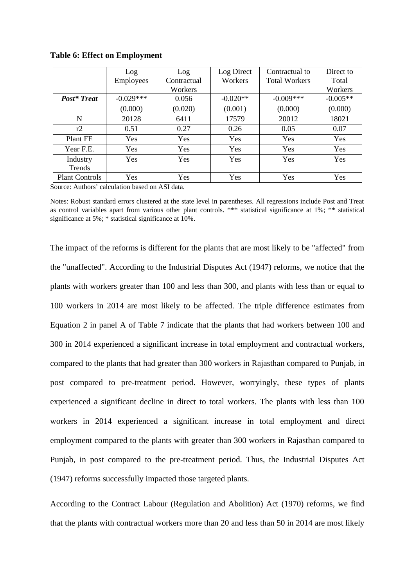|                       | Log         | Log         | Log Direct | Contractual to       | Direct to  |
|-----------------------|-------------|-------------|------------|----------------------|------------|
|                       | Employees   | Contractual | Workers    | <b>Total Workers</b> | Total      |
|                       |             | Workers     |            |                      | Workers    |
| <b>Post*</b> Treat    | $-0.029***$ | 0.056       | $-0.020**$ | $-0.009***$          | $-0.005**$ |
|                       | (0.000)     | (0.020)     | (0.001)    | (0.000)              | (0.000)    |
| N                     | 20128       | 6411        | 17579      | 20012                | 18021      |
| r2                    | 0.51        | 0.27        | 0.26       | 0.05                 | 0.07       |
| Plant FE              | <b>Yes</b>  | Yes         | Yes        | <b>Yes</b>           | Yes        |
| Year F.E.             | <b>Yes</b>  | Yes         | <b>Yes</b> | <b>Yes</b>           | Yes        |
| Industry              | Yes         | <b>Yes</b>  | Yes        | Yes                  | <b>Yes</b> |
| Trends                |             |             |            |                      |            |
| <b>Plant Controls</b> | Yes         | <b>Yes</b>  | Yes        | Yes                  | Yes        |

<span id="page-21-0"></span>**Table 6: Effect on Employment**

Notes: Robust standard errors clustered at the state level in parentheses. All regressions include Post and Treat as control variables apart from various other plant controls. \*\*\* statistical significance at 1%; \*\* statistical significance at 5%; \* statistical significance at 10%.

The impact of the reforms is different for the plants that are most likely to be "affected" from the "unaffected". According to the Industrial Disputes Act (1947) reforms, we notice that the plants with workers greater than 100 and less than 300, and plants with less than or equal to 100 workers in 2014 are most likely to be affected. The triple difference estimates from Equation 2 in panel A of [Table 7](#page-22-0) indicate that the plants that had workers between 100 and 300 in 2014 experienced a significant increase in total employment and contractual workers, compared to the plants that had greater than 300 workers in Rajasthan compared to Punjab, in post compared to pre-treatment period. However, worryingly, these types of plants experienced a significant decline in direct to total workers. The plants with less than 100 workers in 2014 experienced a significant increase in total employment and direct employment compared to the plants with greater than 300 workers in Rajasthan compared to Punjab, in post compared to the pre-treatment period. Thus, the Industrial Disputes Act (1947) reforms successfully impacted those targeted plants.

According to the Contract Labour (Regulation and Abolition) Act (1970) reforms, we find that the plants with contractual workers more than 20 and less than 50 in 2014 are most likely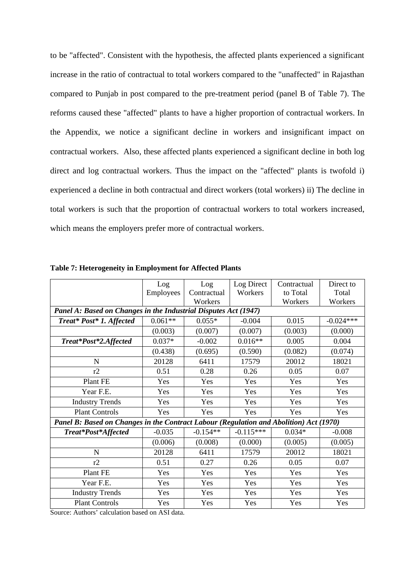to be "affected". Consistent with the hypothesis, the affected plants experienced a significant increase in the ratio of contractual to total workers compared to the "unaffected" in Rajasthan compared to Punjab in post compared to the pre-treatment period (panel B of [Table 7\)](#page-22-0). The reforms caused these "affected" plants to have a higher proportion of contractual workers. In the Appendix, we notice a significant decline in workers and insignificant impact on contractual workers. Also, these affected plants experienced a significant decline in both log direct and log contractual workers. Thus the impact on the "affected" plants is twofold i) experienced a decline in both contractual and direct workers (total workers) ii) The decline in total workers is such that the proportion of contractual workers to total workers increased, which means the employers prefer more of contractual workers.

|                                                                                        | Log       | Log         | <b>Log Direct</b> | Contractual | Direct to   |
|----------------------------------------------------------------------------------------|-----------|-------------|-------------------|-------------|-------------|
|                                                                                        | Employees | Contractual | Workers           | to Total    | Total       |
|                                                                                        |           | Workers     |                   | Workers     | Workers     |
| Panel A: Based on Changes in the Industrial Disputes Act (1947)                        |           |             |                   |             |             |
| Treat* Post* 1. Affected                                                               | $0.061**$ | $0.055*$    | $-0.004$          | 0.015       | $-0.024***$ |
|                                                                                        | (0.003)   | (0.007)     | (0.007)           | (0.003)     | (0.000)     |
| Treat*Post*2.Affected                                                                  | $0.037*$  | $-0.002$    | $0.016**$         | 0.005       | 0.004       |
|                                                                                        | (0.438)   | (0.695)     | (0.590)           | (0.082)     | (0.074)     |
| $\mathbf N$                                                                            | 20128     | 6411        | 17579             | 20012       | 18021       |
| r2                                                                                     | 0.51      | 0.28        | 0.26              | 0.05        | 0.07        |
| Plant FE                                                                               | Yes       | Yes         | Yes               | Yes         | Yes         |
| Year F.E.                                                                              | Yes       | Yes         | Yes               | Yes         | Yes         |
| <b>Industry Trends</b>                                                                 | Yes       | Yes         | Yes               | Yes         | Yes         |
| <b>Plant Controls</b>                                                                  | Yes       | Yes         | Yes               | Yes         | Yes         |
| Panel B: Based on Changes in the Contract Labour (Regulation and Abolition) Act (1970) |           |             |                   |             |             |
| Treat*Post*Affected                                                                    | $-0.035$  | $-0.154**$  | $-0.115***$       | $0.034*$    | $-0.008$    |
|                                                                                        | (0.006)   | (0.008)     | (0.000)           | (0.005)     | (0.005)     |
| $\mathbf N$                                                                            | 20128     | 6411        | 17579             | 20012       | 18021       |
| r2                                                                                     | 0.51      | 0.27        | 0.26              | 0.05        | 0.07        |
| Plant FE                                                                               | Yes       | Yes         | Yes               | Yes         | Yes         |
| Year F.E.                                                                              | Yes       | Yes         | Yes               | Yes         | Yes         |
| <b>Industry Trends</b>                                                                 | Yes       | Yes         | Yes               | Yes         | Yes         |
| <b>Plant Controls</b>                                                                  | Yes       | Yes         | Yes               | Yes         | Yes         |

<span id="page-22-0"></span>**Table 7: Heterogeneity in Employment for Affected Plants**

Source: Authors' calculation based on ASI data.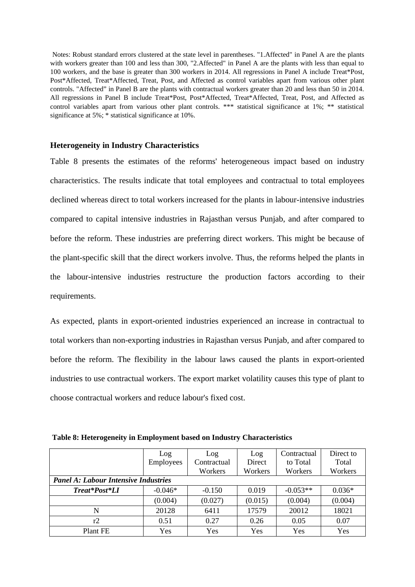Notes: Robust standard errors clustered at the state level in parentheses. "1.Affected" in Panel A are the plants with workers greater than 100 and less than 300, "2.Affected" in Panel A are the plants with less than equal to 100 workers, and the base is greater than 300 workers in 2014. All regressions in Panel A include Treat\*Post, Post\*Affected, Treat\*Affected, Treat, Post, and Affected as control variables apart from various other plant controls. "Affected" in Panel B are the plants with contractual workers greater than 20 and less than 50 in 2014. All regressions in Panel B include Treat\*Post, Post\*Affected, Treat\*Affected, Treat, Post, and Affected as control variables apart from various other plant controls. \*\*\* statistical significance at 1%; \*\* statistical significance at 5%; \* statistical significance at 10%.

#### **Heterogeneity in Industry Characteristics**

[Table 8](#page-23-0) presents the estimates of the reforms' heterogeneous impact based on industry characteristics. The results indicate that total employees and contractual to total employees declined whereas direct to total workers increased for the plants in labour-intensive industries compared to capital intensive industries in Rajasthan versus Punjab, and after compared to before the reform. These industries are preferring direct workers. This might be because of the plant-specific skill that the direct workers involve. Thus, the reforms helped the plants in the labour-intensive industries restructure the production factors according to their requirements.

As expected, plants in export-oriented industries experienced an increase in contractual to total workers than non-exporting industries in Rajasthan versus Punjab, and after compared to before the reform. The flexibility in the labour laws caused the plants in export-oriented industries to use contractual workers. The export market volatility causes this type of plant to choose contractual workers and reduce labour's fixed cost.

|               | Log                                         | Log         | Log     | Contractual | Direct to |  |  |  |
|---------------|---------------------------------------------|-------------|---------|-------------|-----------|--|--|--|
|               | Employees                                   | Contractual | Direct  | to Total    | Total     |  |  |  |
|               |                                             | Workers     | Workers | Workers     | Workers   |  |  |  |
|               | <b>Panel A: Labour Intensive Industries</b> |             |         |             |           |  |  |  |
| Treat*Post*LI | $-0.046*$                                   | $-0.150$    | 0.019   | $-0.053**$  | $0.036*$  |  |  |  |
|               | (0.004)                                     | (0.027)     | (0.015) | (0.004)     | (0.004)   |  |  |  |
| N             | 20128                                       | 6411        | 17579   | 20012       | 18021     |  |  |  |
| r2            | 0.51                                        | 0.27        | 0.26    | 0.05        | 0.07      |  |  |  |
| Plant FE      | Yes                                         | Yes         | Yes     | Yes         | Yes       |  |  |  |

<span id="page-23-0"></span> **Table 8: Heterogeneity in Employment based on Industry Characteristics**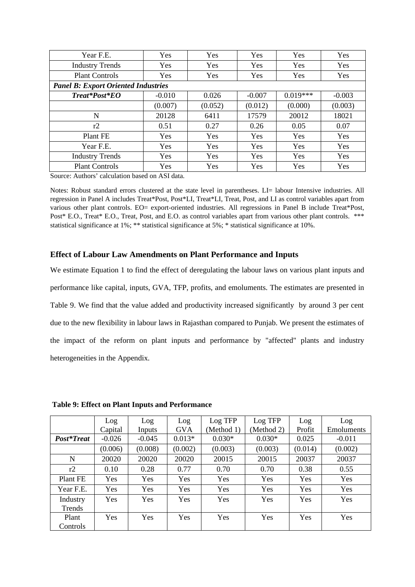| Year F.E.                                  | Yes      | <b>Yes</b> | Yes        | Yes        | Yes      |  |  |
|--------------------------------------------|----------|------------|------------|------------|----------|--|--|
| <b>Industry Trends</b>                     | Yes      | <b>Yes</b> | Yes        | <b>Yes</b> | Yes      |  |  |
| <b>Plant Controls</b>                      | Yes      | Yes        | Yes        | Yes        | Yes      |  |  |
| <b>Panel B: Export Oriented Industries</b> |          |            |            |            |          |  |  |
| Treat*Post*EO                              | $-0.010$ | 0.026      | $-0.007$   | $0.019***$ | $-0.003$ |  |  |
|                                            | (0.007)  | (0.052)    | (0.012)    | (0.000)    | (0.003)  |  |  |
| N                                          | 20128    | 6411       | 17579      | 20012      | 18021    |  |  |
| r2                                         | 0.51     | 0.27       | 0.26       | 0.05       | 0.07     |  |  |
| Plant FE                                   | Yes      | <b>Yes</b> | <b>Yes</b> | <b>Yes</b> | Yes      |  |  |
| Year F.E.                                  | Yes      | Yes        | Yes        | Yes        | Yes      |  |  |
| <b>Industry Trends</b>                     | Yes      | Yes        | Yes        | Yes        | Yes      |  |  |
| <b>Plant Controls</b>                      | Yes      | <b>Yes</b> | Yes        | <b>Yes</b> | Yes      |  |  |

Notes: Robust standard errors clustered at the state level in parentheses. LI= labour Intensive industries. All regression in Panel A includes Treat\*Post, Post\*LI, Treat\*LI, Treat, Post, and LI as control variables apart from various other plant controls. EO= export-oriented industries. All regressions in Panel B include Treat\*Post, Post\* E.O., Treat\* E.O., Treat, Post, and E.O. as control variables apart from various other plant controls. \*\*\* statistical significance at 1%; \*\* statistical significance at 5%; \* statistical significance at 10%.

#### **Effect of Labour Law Amendments on Plant Performance and Inputs**

We estimate Equation 1 to find the effect of deregulating the labour laws on various plant inputs and performance like capital, inputs, GVA, TFP, profits, and emoluments. The estimates are presented in [Table 9](#page-24-0). We find that the value added and productivity increased significantly by around 3 per cent due to the new flexibility in labour laws in Rajasthan compared to Punjab. We present the estimates of the impact of the reform on plant inputs and performance by "affected" plants and industry heterogeneities in the Appendix.

|                    | Log        | Log      | Log        | Log TFP    | Log TFP    | Log        | Log        |
|--------------------|------------|----------|------------|------------|------------|------------|------------|
|                    | Capital    | Inputs   | <b>GVA</b> | (Method 1) | (Method 2) | Profit     | Emoluments |
| Post*Treat         | $-0.026$   | $-0.045$ | $0.013*$   | $0.030*$   | $0.030*$   | 0.025      | $-0.011$   |
|                    | (0.006)    | (0.008)  | (0.002)    | (0.003)    | (0.003)    | (0.014)    | (0.002)    |
| N                  | 20020      | 20020    | 20020      | 20015      | 20015      | 20037      | 20037      |
| r2                 | 0.10       | 0.28     | 0.77       | 0.70       | 0.70       | 0.38       | 0.55       |
| Plant FE           | Yes        | Yes      | Yes        | Yes        | Yes        | Yes        | Yes        |
| Year F.E.          | Yes        | Yes      | Yes        | <b>Yes</b> | Yes        | <b>Yes</b> | Yes        |
| Industry<br>Trends | Yes        | Yes      | Yes        | Yes        | Yes        | Yes        | Yes        |
| Plant<br>Controls  | <b>Yes</b> | Yes      | Yes        | Yes        | Yes        | <b>Yes</b> | Yes        |

<span id="page-24-0"></span> **Table 9: Effect on Plant Inputs and Performance**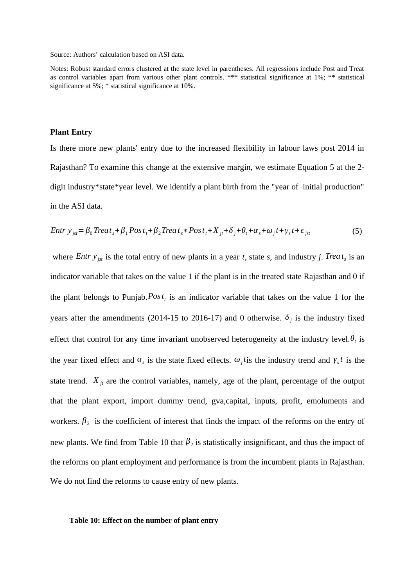Notes: Robust standard errors clustered at the state level in parentheses. All regressions include Post and Treat as control variables apart from various other plant controls. \*\*\* statistical significance at 1%; \*\* statistical significance at 5%; \* statistical significance at 10%.

#### **Plant Entry**

Is there more new plants' entry due to the increased flexibility in labour laws post 2014 in Rajasthan? To examine this change at the extensive margin, we estimate Equation 5 at the 2 digit industry\*state\*year level. We identify a plant birth from the "year of initial production" in the ASI data.

$$
Entr y_{jst} = \beta_0 Treat_s + \beta_1 Post_t + \beta_2 Treat_s * Post_t + X_{jt} + \delta_j + \theta_t + \alpha_s + \omega_j t + \gamma_s t + \epsilon_{jst}
$$
(5)

where *Entr*  $y_{jst}$  is the total entry of new plants in a year *t*, state *s*, and industry *j*. *Trea*  $t_s$  is an indicator variable that takes on the value 1 if the plant is in the treated state Rajasthan and 0 if the plant belongs to Punjab.*Post t* is an indicator variable that takes on the value 1 for the years after the amendments (2014-15 to 2016-17) and 0 otherwise.  $\delta_j$  is the industry fixed effect that control for any time invariant unobserved heterogeneity at the industry level. $\theta_t$  is the year fixed effect and  $\alpha_s$  is the state fixed effects.  $\omega_j t$  is the industry trend and  $\gamma_s t$  is the state trend.  $X_{it}$  are the control variables, namely, age of the plant, percentage of the output that the plant export, import dummy trend, gva,capital, inputs, profit, emoluments and workers.  $\beta_2$  is the coefficient of interest that finds the impact of the reforms on the entry of new plants. We find from [Table 10](#page-25-0) that  $\beta_2$  is statistically insignificant, and thus the impact of the reforms on plant employment and performance is from the incumbent plants in Rajasthan. We do not find the reforms to cause entry of new plants.

#### <span id="page-25-0"></span>**Table 10: Effect on the number of plant entry**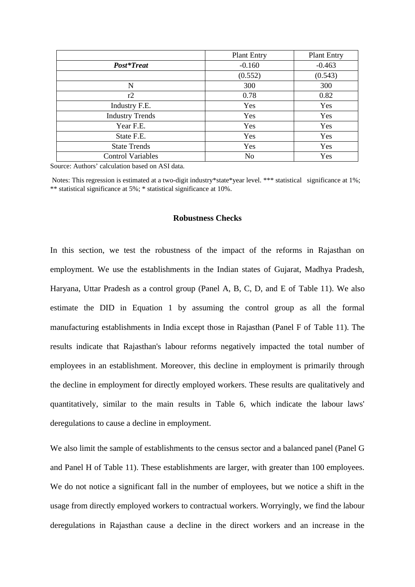|                          | <b>Plant Entry</b> | <b>Plant Entry</b> |
|--------------------------|--------------------|--------------------|
| Post*Treat               | $-0.160$           | $-0.463$           |
|                          | (0.552)            | (0.543)            |
| N                        | 300                | 300                |
| r2                       | 0.78               | 0.82               |
| Industry F.E.            | Yes                | Yes                |
| <b>Industry Trends</b>   | Yes                | Yes                |
| Year F.E.                | Yes                | Yes                |
| State F.E.               | Yes                | Yes                |
| <b>State Trends</b>      | Yes                | Yes                |
| <b>Control Variables</b> | No                 | Yes                |

 Notes: This regression is estimated at a two-digit industry\*state\*year level. \*\*\* statistical significance at 1%; \*\* statistical significance at 5%; \* statistical significance at 10%.

### **Robustness Checks**

In this section, we test the robustness of the impact of the reforms in Rajasthan on employment. We use the establishments in the Indian states of Gujarat, Madhya Pradesh, Haryana, Uttar Pradesh as a control group (Panel A, B, C, D, and E of [Table 11](#page-27-0)). We also estimate the DID in Equation 1 by assuming the control group as all the formal manufacturing establishments in India except those in Rajasthan (Panel F of [Table 11\)](#page-27-0). The results indicate that Rajasthan's labour reforms negatively impacted the total number of employees in an establishment. Moreover, this decline in employment is primarily through the decline in employment for directly employed workers. These results are qualitatively and quantitatively, similar to the main results in Table 6, which indicate the labour laws' deregulations to cause a decline in employment.

We also limit the sample of establishments to the census sector and a balanced panel (Panel G and Panel H of [Table 11\)](#page-27-0). These establishments are larger, with greater than 100 employees. We do not notice a significant fall in the number of employees, but we notice a shift in the usage from directly employed workers to contractual workers. Worryingly, we find the labour deregulations in Rajasthan cause a decline in the direct workers and an increase in the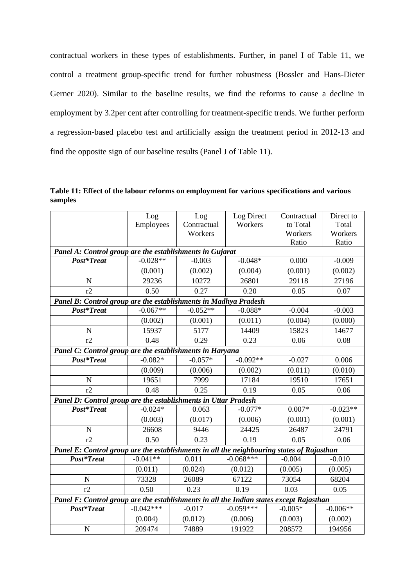contractual workers in these types of establishments. Further, in panel I of Table 11, we control a treatment group-specific trend for further robustness (Bossler and Hans-Dieter Gerner 2020). Similar to the baseline results, we find the reforms to cause a decline in employment by 3.2per cent after controlling for treatment-specific trends. We further perform a regression-based placebo test and artificially assign the treatment period in 2012-13 and find the opposite sign of our baseline results (Panel J of Table 11).

<span id="page-27-0"></span>**Table 11: Effect of the labour reforms on employment for various specifications and various samples**

|                                                                                           | Log         | Log                    | <b>Log Direct</b> | Contractual | Direct to  |  |
|-------------------------------------------------------------------------------------------|-------------|------------------------|-------------------|-------------|------------|--|
|                                                                                           | Employees   | Workers<br>Contractual |                   | to Total    | Total      |  |
|                                                                                           |             | Workers                |                   | Workers     | Workers    |  |
|                                                                                           |             |                        |                   | Ratio       | Ratio      |  |
| Panel A: Control group are the establishments in Gujarat                                  |             |                        |                   |             |            |  |
| Post*Treat                                                                                | $-0.028**$  | $-0.003$               | $-0.048*$         | 0.000       | $-0.009$   |  |
|                                                                                           | (0.001)     | (0.002)                | (0.004)           | (0.001)     | (0.002)    |  |
| $\mathbf N$                                                                               | 29236       | 10272                  | 26801             | 29118       | 27196      |  |
| r2                                                                                        | 0.50        | 0.27                   | 0.20              | 0.05        | 0.07       |  |
| Panel B: Control group are the establishments in Madhya Pradesh                           |             |                        |                   |             |            |  |
| Post*Treat                                                                                | $-0.067**$  | $-0.052**$             | $-0.088*$         | $-0.004$    | $-0.003$   |  |
|                                                                                           | (0.002)     | (0.001)                | (0.011)           | (0.004)     | (0.000)    |  |
| ${\bf N}$                                                                                 | 15937       | 5177                   | 14409             | 15823       | 14677      |  |
| r2                                                                                        | 0.48        | 0.29                   | 0.23              | 0.06        | 0.08       |  |
| Panel C: Control group are the establishments in Haryana                                  |             |                        |                   |             |            |  |
| Post*Treat                                                                                | $-0.082*$   | $-0.057*$              | $-0.092**$        | $-0.027$    | 0.006      |  |
|                                                                                           | (0.009)     | (0.006)                | (0.002)           | (0.011)     | (0.010)    |  |
| $\mathbf N$                                                                               | 19651       | 7999                   | 17184             | 19510       | 17651      |  |
| r2                                                                                        | 0.48        | 0.25                   | 0.19              | 0.05        | 0.06       |  |
| Panel D: Control group are the establishments in Uttar Pradesh                            |             |                        |                   |             |            |  |
| Post*Treat                                                                                | $-0.024*$   | 0.063                  | $-0.077*$         | $0.007*$    | $-0.023**$ |  |
|                                                                                           | (0.003)     | (0.017)                | (0.006)           | (0.001)     | (0.001)    |  |
| ${\bf N}$                                                                                 | 26608       | 9446                   | 24425             | 26487       | 24791      |  |
| r2                                                                                        | 0.50        | 0.23                   | 0.19              | 0.05        | 0.06       |  |
| Panel E: Control group are the establishments in all the neighbouring states of Rajasthan |             |                        |                   |             |            |  |
| Post*Treat                                                                                | $-0.041**$  | 0.011                  | $-0.068***$       | $-0.004$    | $-0.010$   |  |
|                                                                                           | (0.011)     | (0.024)                | (0.012)           | (0.005)     | (0.005)    |  |
| $\mathbf N$                                                                               | 73328       | 26089                  | 67122             | 73054       | 68204      |  |
| r2                                                                                        | 0.50        | 0.23                   | 0.19              | 0.03        | 0.05       |  |
| Panel F: Control group are the establishments in all the Indian states except Rajasthan   |             |                        |                   |             |            |  |
| Post*Treat                                                                                | $-0.042***$ | $-0.017$               | $-0.059***$       | $-0.005*$   | $-0.006**$ |  |
|                                                                                           | (0.004)     | (0.012)                | (0.006)           | (0.003)     | (0.002)    |  |
| $\mathbf N$                                                                               | 209474      | 74889                  | 191922            | 208572      | 194956     |  |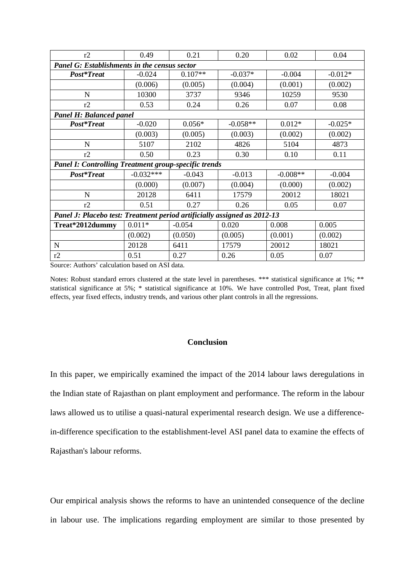| r2                                                                       | 0.49        | 0.21      | 0.20       | 0.02       | 0.04      |  |  |
|--------------------------------------------------------------------------|-------------|-----------|------------|------------|-----------|--|--|
| Panel G: Establishments in the census sector                             |             |           |            |            |           |  |  |
| Post*Treat                                                               | $-0.024$    | $0.107**$ | $-0.037*$  | $-0.004$   | $-0.012*$ |  |  |
|                                                                          | (0.006)     | (0.005)   | (0.004)    | (0.001)    | (0.002)   |  |  |
| N                                                                        | 10300       | 3737      | 9346       | 10259      | 9530      |  |  |
| r2                                                                       | 0.53        | 0.24      | 0.26       | 0.07       | 0.08      |  |  |
| Panel H: Balanced panel                                                  |             |           |            |            |           |  |  |
| Post*Treat                                                               | $-0.020$    | $0.056*$  | $-0.058**$ | $0.012*$   | $-0.025*$ |  |  |
|                                                                          | (0.003)     | (0.005)   | (0.003)    | (0.002)    | (0.002)   |  |  |
| N                                                                        | 5107        | 2102      | 4826       | 5104       | 4873      |  |  |
| r2                                                                       | 0.50        | 0.23      | 0.30       | 0.10       | 0.11      |  |  |
| <b>Panel I: Controlling Treatment group-specific trends</b>              |             |           |            |            |           |  |  |
| Post*Treat                                                               | $-0.032***$ | $-0.043$  | $-0.013$   | $-0.008**$ | $-0.004$  |  |  |
|                                                                          | (0.000)     | (0.007)   | (0.004)    | (0.000)    | (0.002)   |  |  |
| N                                                                        | 20128       | 6411      | 17579      | 20012      | 18021     |  |  |
| r2                                                                       | 0.51        | 0.27      | 0.26       | 0.05       | 0.07      |  |  |
| Panel J: Placebo test: Treatment period artificially assigned as 2012-13 |             |           |            |            |           |  |  |
| Treat*2012dummy                                                          | $0.011*$    | $-0.054$  | 0.020      | 0.008      | 0.005     |  |  |
|                                                                          | (0.002)     | (0.050)   | (0.005)    | (0.001)    | (0.002)   |  |  |
| N                                                                        | 20128       | 6411      | 17579      | 20012      | 18021     |  |  |
| r2                                                                       | 0.51        | 0.27      | 0.26       | 0.05       | 0.07      |  |  |

Notes: Robust standard errors clustered at the state level in parentheses. \*\*\* statistical significance at 1%; \*\* statistical significance at 5%; \* statistical significance at 10%. We have controlled Post, Treat, plant fixed effects, year fixed effects, industry trends, and various other plant controls in all the regressions.

# **Conclusion**

In this paper, we empirically examined the impact of the 2014 labour laws deregulations in the Indian state of Rajasthan on plant employment and performance. The reform in the labour laws allowed us to utilise a quasi-natural experimental research design. We use a differencein-difference specification to the establishment-level ASI panel data to examine the effects of Rajasthan's labour reforms.

Our empirical analysis shows the reforms to have an unintended consequence of the decline in labour use. The implications regarding employment are similar to those presented by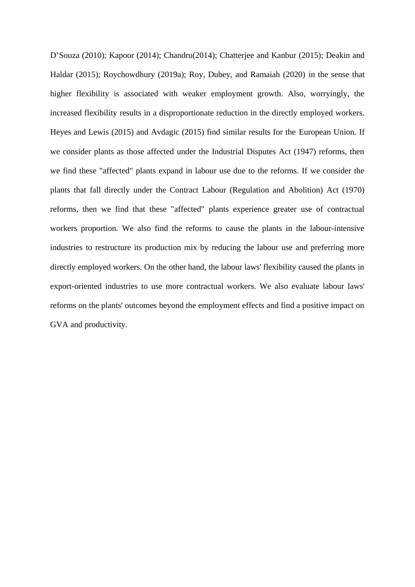D'Souza (2010); Kapoor (2014); Chandru(2014); Chatterjee and Kanbur (2015); Deakin and Haldar (2015); Roychowdhury (2019a); Roy, Dubey, and Ramaiah (2020) in the sense that higher flexibility is associated with weaker employment growth. Also, worryingly, the increased flexibility results in a disproportionate reduction in the directly employed workers. Heyes and Lewis (2015) and Avdagic (2015) find similar results for the European Union. If we consider plants as those affected under the Industrial Disputes Act (1947) reforms, then we find these "affected" plants expand in labour use due to the reforms. If we consider the plants that fall directly under the Contract Labour (Regulation and Abolition) Act (1970) reforms, then we find that these "affected" plants experience greater use of contractual workers proportion. We also find the reforms to cause the plants in the labour-intensive industries to restructure its production mix by reducing the labour use and preferring more directly employed workers. On the other hand, the labour laws' flexibility caused the plants in export-oriented industries to use more contractual workers. We also evaluate labour laws' reforms on the plants' outcomes beyond the employment effects and find a positive impact on GVA and productivity.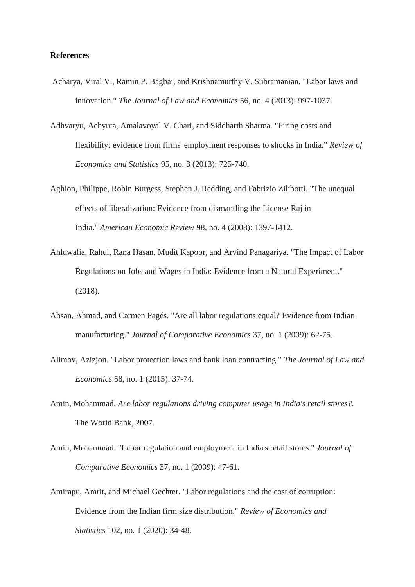#### **References**

- Acharya, Viral V., Ramin P. Baghai, and Krishnamurthy V. Subramanian. "Labor laws and innovation." *The Journal of Law and Economics* 56, no. 4 (2013): 997-1037.
- Adhvaryu, Achyuta, Amalavoyal V. Chari, and Siddharth Sharma. "Firing costs and flexibility: evidence from firms' employment responses to shocks in India." *Review of Economics and Statistics* 95, no. 3 (2013): 725-740.
- Aghion, Philippe, Robin Burgess, Stephen J. Redding, and Fabrizio Zilibotti. "The unequal effects of liberalization: Evidence from dismantling the License Raj in India." *American Economic Review* 98, no. 4 (2008): 1397-1412.
- Ahluwalia, Rahul, Rana Hasan, Mudit Kapoor, and Arvind Panagariya. "The Impact of Labor Regulations on Jobs and Wages in India: Evidence from a Natural Experiment." (2018).
- Ahsan, Ahmad, and Carmen Pagés. "Are all labor regulations equal? Evidence from Indian manufacturing." *Journal of Comparative Economics* 37, no. 1 (2009): 62-75.
- Alimov, Azizjon. "Labor protection laws and bank loan contracting." *The Journal of Law and Economics* 58, no. 1 (2015): 37-74.
- Amin, Mohammad. *Are labor regulations driving computer usage in India's retail stores?*. The World Bank, 2007.
- Amin, Mohammad. "Labor regulation and employment in India's retail stores." *Journal of Comparative Economics* 37, no. 1 (2009): 47-61.
- Amirapu, Amrit, and Michael Gechter. "Labor regulations and the cost of corruption: Evidence from the Indian firm size distribution." *Review of Economics and Statistics* 102, no. 1 (2020): 34-48.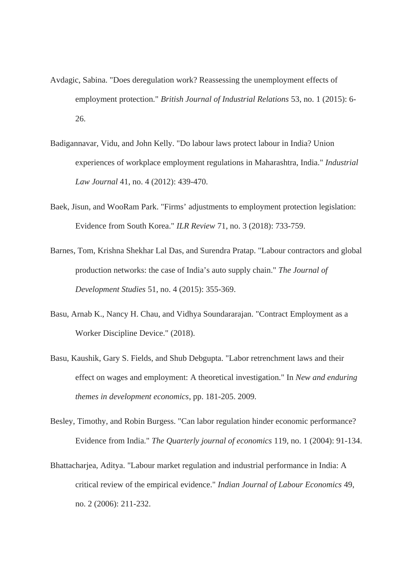- Avdagic, Sabina. "Does deregulation work? Reassessing the unemployment effects of employment protection." *British Journal of Industrial Relations* 53, no. 1 (2015): 6- 26.
- Badigannavar, Vidu, and John Kelly. "Do labour laws protect labour in India? Union experiences of workplace employment regulations in Maharashtra, India." *Industrial Law Journal* 41, no. 4 (2012): 439-470.
- Baek, Jisun, and WooRam Park. "Firms' adjustments to employment protection legislation: Evidence from South Korea." *ILR Review* 71, no. 3 (2018): 733-759.
- Barnes, Tom, Krishna Shekhar Lal Das, and Surendra Pratap. "Labour contractors and global production networks: the case of India's auto supply chain." *The Journal of Development Studies* 51, no. 4 (2015): 355-369.
- Basu, Arnab K., Nancy H. Chau, and Vidhya Soundararajan. "Contract Employment as a Worker Discipline Device." (2018).
- Basu, Kaushik, Gary S. Fields, and Shub Debgupta. "Labor retrenchment laws and their effect on wages and employment: A theoretical investigation." In *New and enduring themes in development economics*, pp. 181-205. 2009.
- Besley, Timothy, and Robin Burgess. "Can labor regulation hinder economic performance? Evidence from India." *The Quarterly journal of economics* 119, no. 1 (2004): 91-134.
- Bhattacharjea, Aditya. "Labour market regulation and industrial performance in India: A critical review of the empirical evidence." *Indian Journal of Labour Economics* 49, no. 2 (2006): 211-232.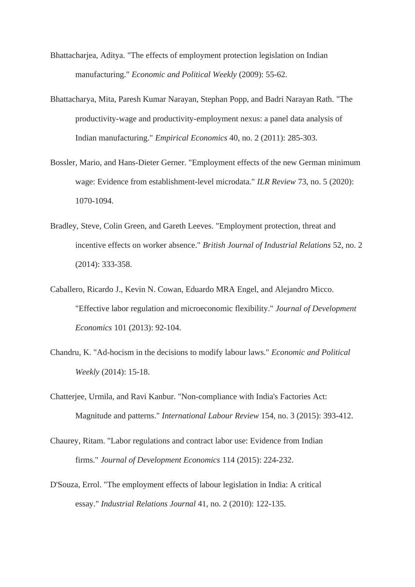- Bhattacharjea, Aditya. "The effects of employment protection legislation on Indian manufacturing." *Economic and Political Weekly* (2009): 55-62.
- Bhattacharya, Mita, Paresh Kumar Narayan, Stephan Popp, and Badri Narayan Rath. "The productivity-wage and productivity-employment nexus: a panel data analysis of Indian manufacturing." *Empirical Economics* 40, no. 2 (2011): 285-303.
- Bossler, Mario, and Hans-Dieter Gerner. "Employment effects of the new German minimum wage: Evidence from establishment-level microdata." *ILR Review* 73, no. 5 (2020): 1070-1094.
- Bradley, Steve, Colin Green, and Gareth Leeves. "Employment protection, threat and incentive effects on worker absence." *British Journal of Industrial Relations* 52, no. 2 (2014): 333-358.
- Caballero, Ricardo J., Kevin N. Cowan, Eduardo MRA Engel, and Alejandro Micco. "Effective labor regulation and microeconomic flexibility." *Journal of Development Economics* 101 (2013): 92-104.
- Chandru, K. "Ad-hocism in the decisions to modify labour laws." *Economic and Political Weekly* (2014): 15-18.
- Chatterjee, Urmila, and Ravi Kanbur. "Non‐compliance with India's Factories Act: Magnitude and patterns." *International Labour Review* 154, no. 3 (2015): 393-412.
- Chaurey, Ritam. "Labor regulations and contract labor use: Evidence from Indian firms." *Journal of Development Economics* 114 (2015): 224-232.
- D'Souza, Errol. "The employment effects of labour legislation in India: A critical essay." *Industrial Relations Journal* 41, no. 2 (2010): 122-135.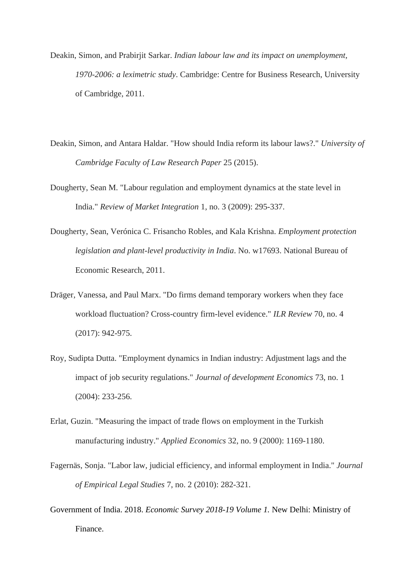- Deakin, Simon, and Prabirjit Sarkar. *Indian labour law and its impact on unemployment, 1970-2006: a leximetric study*. Cambridge: Centre for Business Research, University of Cambridge, 2011.
- Deakin, Simon, and Antara Haldar. "How should India reform its labour laws?." *University of Cambridge Faculty of Law Research Paper* 25 (2015).
- Dougherty, Sean M. "Labour regulation and employment dynamics at the state level in India." *Review of Market Integration* 1, no. 3 (2009): 295-337.
- Dougherty, Sean, Verónica C. Frisancho Robles, and Kala Krishna. *Employment protection legislation and plant-level productivity in India*. No. w17693. National Bureau of Economic Research, 2011.
- Dräger, Vanessa, and Paul Marx. "Do firms demand temporary workers when they face workload fluctuation? Cross-country firm-level evidence." *ILR Review* 70, no. 4 (2017): 942-975.
- Roy, Sudipta Dutta. "Employment dynamics in Indian industry: Adjustment lags and the impact of job security regulations." *Journal of development Economics* 73, no. 1 (2004): 233-256.
- Erlat, Guzin. "Measuring the impact of trade flows on employment in the Turkish manufacturing industry." *Applied Economics* 32, no. 9 (2000): 1169-1180.
- Fagernäs, Sonja. "Labor law, judicial efficiency, and informal employment in India." *Journal of Empirical Legal Studies* 7, no. 2 (2010): 282-321.
- Government of India. 2018. *Economic Survey 2018-19 Volume 1.* New Delhi: Ministry of Finance.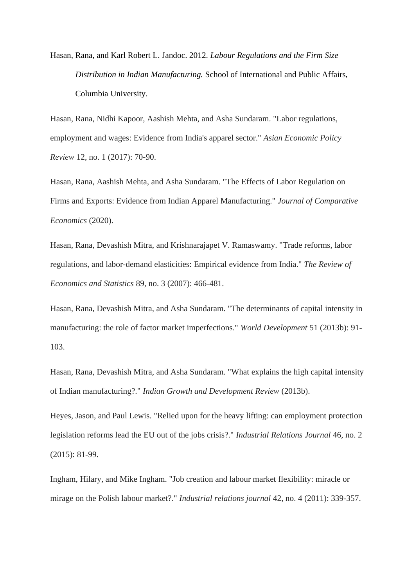Hasan, Rana, and Karl Robert L. Jandoc. 2012. *Labour Regulations and the Firm Size Distribution in Indian Manufacturing.* School of International and Public Affairs, Columbia University.

Hasan, Rana, Nidhi Kapoor, Aashish Mehta, and Asha Sundaram. "Labor regulations, employment and wages: Evidence from India's apparel sector." *Asian Economic Policy Review* 12, no. 1 (2017): 70-90.

Hasan, Rana, Aashish Mehta, and Asha Sundaram. "The Effects of Labor Regulation on Firms and Exports: Evidence from Indian Apparel Manufacturing." *Journal of Comparative Economics* (2020).

Hasan, Rana, Devashish Mitra, and Krishnarajapet V. Ramaswamy. "Trade reforms, labor regulations, and labor-demand elasticities: Empirical evidence from India." *The Review of Economics and Statistics* 89, no. 3 (2007): 466-481.

Hasan, Rana, Devashish Mitra, and Asha Sundaram. "The determinants of capital intensity in manufacturing: the role of factor market imperfections." *World Development* 51 (2013b): 91- 103.

Hasan, Rana, Devashish Mitra, and Asha Sundaram. "What explains the high capital intensity of Indian manufacturing?." *Indian Growth and Development Review* (2013b).

Heyes, Jason, and Paul Lewis. "Relied upon for the heavy lifting: can employment protection legislation reforms lead the EU out of the jobs crisis?." *Industrial Relations Journal* 46, no. 2 (2015): 81-99.

Ingham, Hilary, and Mike Ingham. "Job creation and labour market flexibility: miracle or mirage on the Polish labour market?." *Industrial relations journal* 42, no. 4 (2011): 339-357.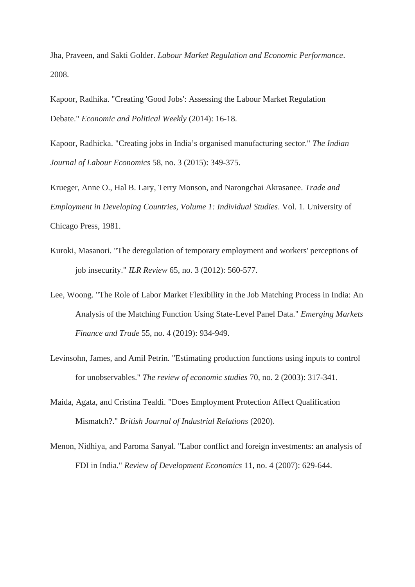Jha, Praveen, and Sakti Golder. *Labour Market Regulation and Economic Performance*. 2008.

Kapoor, Radhika. "Creating 'Good Jobs': Assessing the Labour Market Regulation Debate." *Economic and Political Weekly* (2014): 16-18.

Kapoor, Radhicka. "Creating jobs in India's organised manufacturing sector." *The Indian Journal of Labour Economics* 58, no. 3 (2015): 349-375.

Krueger, Anne O., Hal B. Lary, Terry Monson, and Narongchai Akrasanee. *Trade and Employment in Developing Countries, Volume 1: Individual Studies*. Vol. 1. University of Chicago Press, 1981.

- Kuroki, Masanori. "The deregulation of temporary employment and workers' perceptions of job insecurity." *ILR Review* 65, no. 3 (2012): 560-577.
- Lee, Woong. "The Role of Labor Market Flexibility in the Job Matching Process in India: An Analysis of the Matching Function Using State-Level Panel Data." *Emerging Markets Finance and Trade* 55, no. 4 (2019): 934-949.
- Levinsohn, James, and Amil Petrin. "Estimating production functions using inputs to control for unobservables." *The review of economic studies* 70, no. 2 (2003): 317-341.
- Maida, Agata, and Cristina Tealdi. "Does Employment Protection Affect Qualification Mismatch?." *British Journal of Industrial Relations* (2020).
- Menon, Nidhiya, and Paroma Sanyal. "Labor conflict and foreign investments: an analysis of FDI in India." *Review of Development Economics* 11, no. 4 (2007): 629-644.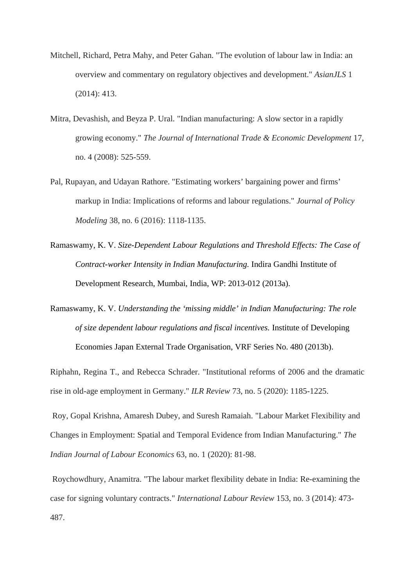- Mitchell, Richard, Petra Mahy, and Peter Gahan. "The evolution of labour law in India: an overview and commentary on regulatory objectives and development." *AsianJLS* 1 (2014): 413.
- Mitra, Devashish, and Beyza P. Ural. "Indian manufacturing: A slow sector in a rapidly growing economy." *The Journal of International Trade & Economic Development* 17, no. 4 (2008): 525-559.
- Pal, Rupayan, and Udayan Rathore. "Estimating workers' bargaining power and firms' markup in India: Implications of reforms and labour regulations." *Journal of Policy Modeling* 38, no. 6 (2016): 1118-1135.
- Ramaswamy, K. V. *Size-Dependent Labour Regulations and Threshold Effects: The Case of Contract-worker Intensity in Indian Manufacturing.* Indira Gandhi Institute of Development Research, Mumbai, India, WP: 2013-012 (2013a).
- Ramaswamy, K. V. *Understanding the 'missing middle' in Indian Manufacturing: The role of size dependent labour regulations and fiscal incentives.* Institute of Developing Economies Japan External Trade Organisation, VRF Series No. 480 (2013b).

Riphahn, Regina T., and Rebecca Schrader. "Institutional reforms of 2006 and the dramatic rise in old-age employment in Germany." *ILR Review* 73, no. 5 (2020): 1185-1225.

 Roy, Gopal Krishna, Amaresh Dubey, and Suresh Ramaiah. "Labour Market Flexibility and Changes in Employment: Spatial and Temporal Evidence from Indian Manufacturing." *The Indian Journal of Labour Economics* 63, no. 1 (2020): 81-98.

 Roychowdhury, Anamitra. "The labour market flexibility debate in India: Re‐examining the case for signing voluntary contracts." *International Labour Review* 153, no. 3 (2014): 473- 487.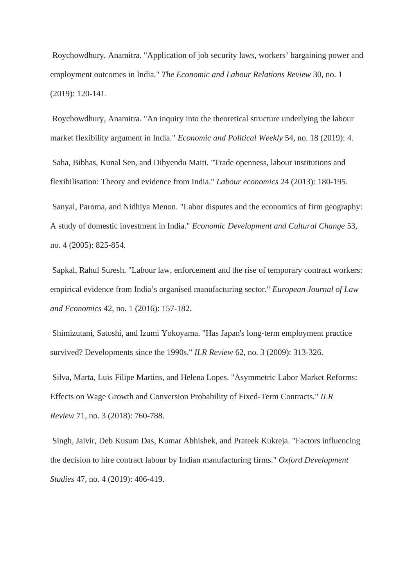Roychowdhury, Anamitra. "Application of job security laws, workers' bargaining power and employment outcomes in India." *The Economic and Labour Relations Review* 30, no. 1 (2019): 120-141.

 Roychowdhury, Anamitra. "An inquiry into the theoretical structure underlying the labour market flexibility argument in India." *Economic and Political Weekly* 54, no. 18 (2019): 4. Saha, Bibhas, Kunal Sen, and Dibyendu Maiti. "Trade openness, labour institutions and flexibilisation: Theory and evidence from India." *Labour economics* 24 (2013): 180-195. Sanyal, Paroma, and Nidhiya Menon. "Labor disputes and the economics of firm geography: A study of domestic investment in India." *Economic Development and Cultural Change* 53, no. 4 (2005): 825-854.

 Sapkal, Rahul Suresh. "Labour law, enforcement and the rise of temporary contract workers: empirical evidence from India's organised manufacturing sector." *European Journal of Law and Economics* 42, no. 1 (2016): 157-182.

 Shimizutani, Satoshi, and Izumi Yokoyama. "Has Japan's long-term employment practice survived? Developments since the 1990s." *ILR Review* 62, no. 3 (2009): 313-326.

 Silva, Marta, Luis Filipe Martins, and Helena Lopes. "Asymmetric Labor Market Reforms: Effects on Wage Growth and Conversion Probability of Fixed-Term Contracts." *ILR Review* 71, no. 3 (2018): 760-788.

 Singh, Jaivir, Deb Kusum Das, Kumar Abhishek, and Prateek Kukreja. "Factors influencing the decision to hire contract labour by Indian manufacturing firms." *Oxford Development Studies* 47, no. 4 (2019): 406-419.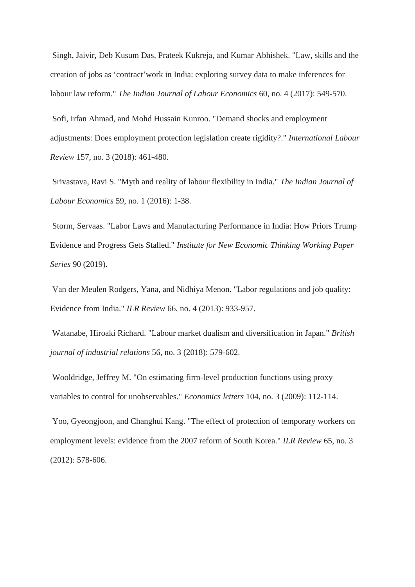Singh, Jaivir, Deb Kusum Das, Prateek Kukreja, and Kumar Abhishek. "Law, skills and the creation of jobs as 'contract'work in India: exploring survey data to make inferences for labour law reform." *The Indian Journal of Labour Economics* 60, no. 4 (2017): 549-570.

 Sofi, Irfan Ahmad, and Mohd Hussain Kunroo. "Demand shocks and employment adjustments: Does employment protection legislation create rigidity?." *International Labour Review* 157, no. 3 (2018): 461-480.

 Srivastava, Ravi S. "Myth and reality of labour flexibility in India." *The Indian Journal of Labour Economics* 59, no. 1 (2016): 1-38.

 Storm, Servaas. "Labor Laws and Manufacturing Performance in India: How Priors Trump Evidence and Progress Gets Stalled." *Institute for New Economic Thinking Working Paper Series* 90 (2019).

 Van der Meulen Rodgers, Yana, and Nidhiya Menon. "Labor regulations and job quality: Evidence from India." *ILR Review* 66, no. 4 (2013): 933-957.

 Watanabe, Hiroaki Richard. "Labour market dualism and diversification in Japan." *British journal of industrial relations* 56, no. 3 (2018): 579-602.

 Wooldridge, Jeffrey M. "On estimating firm-level production functions using proxy variables to control for unobservables." *Economics letters* 104, no. 3 (2009): 112-114.

 Yoo, Gyeongjoon, and Changhui Kang. "The effect of protection of temporary workers on employment levels: evidence from the 2007 reform of South Korea." *ILR Review* 65, no. 3 (2012): 578-606.